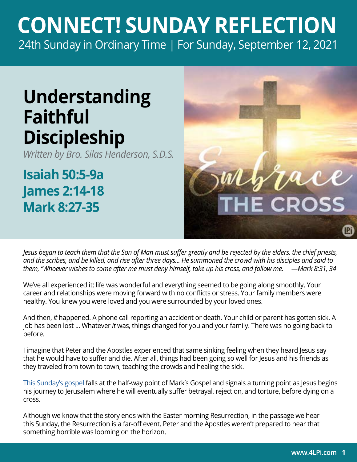## **CONNECT! SUNDAY REFLECTION** [24th Sunday in Ordinary Time | For Sunday, September 12, 2021](https://bible.usccb.org/bible/readings/091221.cfm)

## **Understanding Faithful Discipleship**

*Written by Bro. Silas Henderson, S.D.S.*

**Isaiah 50:5-9a James 2:14-18 Mark 8:27-35**



*Jesus began to teach them that the Son of Man must suffer greatly and be rejected by the elders, the chief priests, and the scribes, and be killed, and rise after three days... He summoned the crowd with his disciples and said to them, "Whoever wishes to come after me must deny himself, take up his cross, and follow me. —Mark 8:31, 34*

We've all experienced it: life was wonderful and everything seemed to be going along smoothly. Your career and relationships were moving forward with no conflicts or stress. Your family members were healthy. You knew you were loved and you were surrounded by your loved ones.

And then, *it* happened. A phone call reporting an accident or death. Your child or parent has gotten sick. A job has been lost ... Whatever *it* was, things changed for you and your family. There was no going back to before.

I imagine that Peter and the Apostles experienced that same sinking feeling when they heard Jesus say that he would have to suffer and die. After all, things had been going so well for Jesus and his friends as they traveled from town to town, teaching the crowds and healing the sick.

[This Sunday's gospel](https://bible.usccb.org/bible/mark/8?27) falls at the half-way point of Mark's Gospel and signals a turning point as Jesus begins his journey to Jerusalem where he will eventually suffer betrayal, rejection, and torture, before dying on a cross.

Although we know that the story ends with the Easter morning Resurrection, in the passage we hear this Sunday, the Resurrection is a far-off event. Peter and the Apostles weren't prepared to hear that something horrible was looming on the horizon.